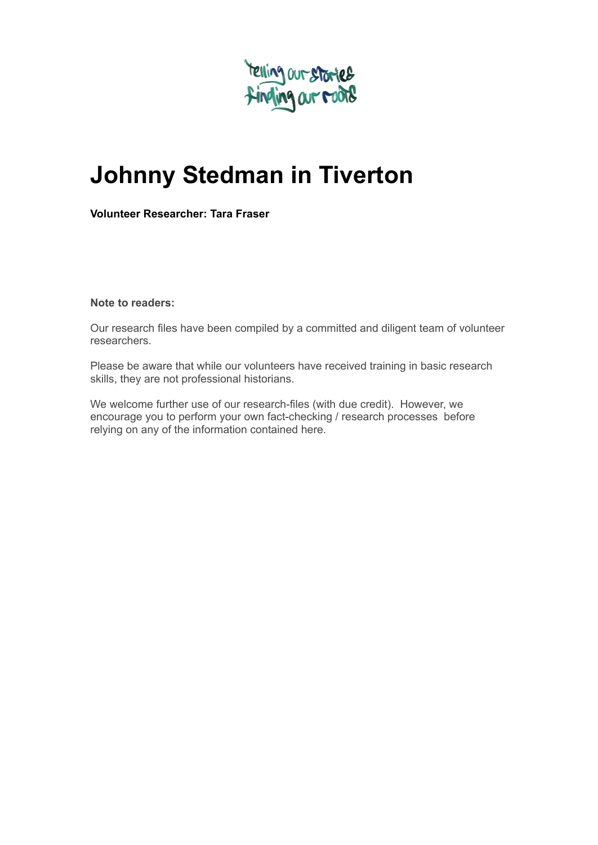

# **Johnny Stedman in Tiverton**

**Volunteer Researcher: Tara Fraser**

**Note to readers:**

Our research files have been compiled by a committed and diligent team of volunteer researchers.

Please be aware that while our volunteers have received training in basic research skills, they are not professional historians.

We welcome further use of our research-files (with due credit). However, we encourage you to perform your own fact-checking / research processes before relying on any of the information contained here.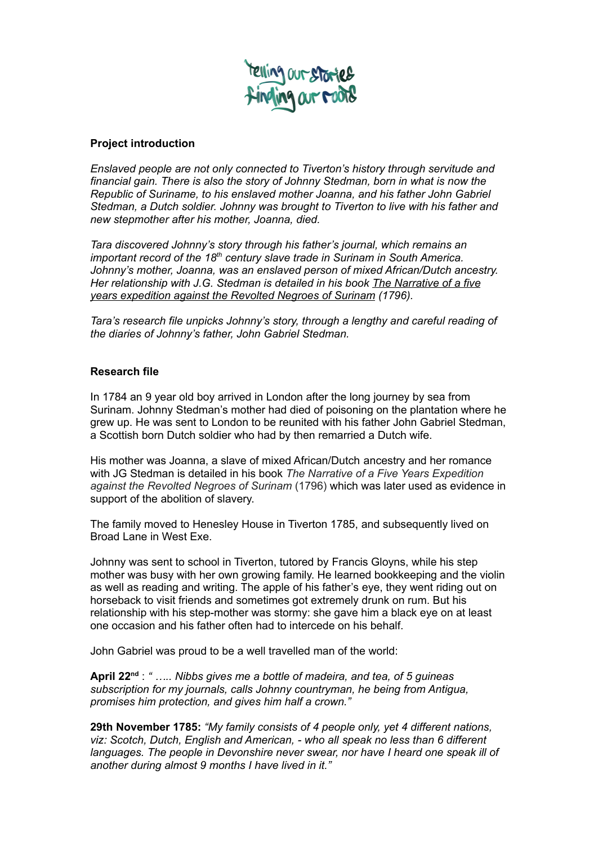

### **Project introduction**

*Enslaved people are not only connected to Tiverton's history through servitude and financial gain. There is also the story of Johnny Stedman, born in what is now the Republic of Suriname, to his enslaved mother Joanna, and his father John Gabriel Stedman, a Dutch soldier. Johnny was brought to Tiverton to live with his father and new stepmother after his mother, Joanna, died.*

*Tara discovered Johnny's story through his father's journal, which remains an important record of the 18 th century slave trade in Surinam in South America. Johnny's mother, Joanna, was an enslaved person of mixed African/Dutch ancestry. Her relationship with J.G. Stedman is detailed in his book The Narrative of a five years expedition against the Revolted Negroes of Surinam (1796).*

*Tara's research file unpicks Johnny's story, through a lengthy and careful reading of the diaries of Johnny's father, John Gabriel Stedman.*

#### **Research file**

In 1784 an 9 year old boy arrived in London after the long journey by sea from Surinam. Johnny Stedman's mother had died of poisoning on the plantation where he grew up. He was sent to London to be reunited with his father John Gabriel Stedman, a Scottish born Dutch soldier who had by then remarried a Dutch wife.

His mother was Joanna, a slave of mixed African/Dutch ancestry and her romance with JG Stedman is detailed in his book *The Narrative of a Five Years Expedition against the Revolted Negroes of Surinam* (1796) which was later used as evidence in support of the abolition of slavery.

The family moved to Henesley House in Tiverton 1785, and subsequently lived on Broad Lane in West Exe.

Johnny was sent to school in Tiverton, tutored by Francis Gloyns, while his step mother was busy with her own growing family. He learned bookkeeping and the violin as well as reading and writing. The apple of his father's eye, they went riding out on horseback to visit friends and sometimes got extremely drunk on rum. But his relationship with his step-mother was stormy: she gave him a black eye on at least one occasion and his father often had to intercede on his behalf.

John Gabriel was proud to be a well travelled man of the world:

April 22<sup>nd</sup>: " ..... Nibbs gives me a bottle of madeira, and tea, of 5 guineas *subscription for my journals, calls Johnny countryman, he being from Antigua, promises him protection, and gives him half a crown."*

**29th November 1785:** *"My family consists of 4 people only, yet 4 different nations, viz: Scotch, Dutch, English and American, - who all speak no less than 6 different languages. The people in Devonshire never swear, nor have I heard one speak ill of another during almost 9 months I have lived in it."*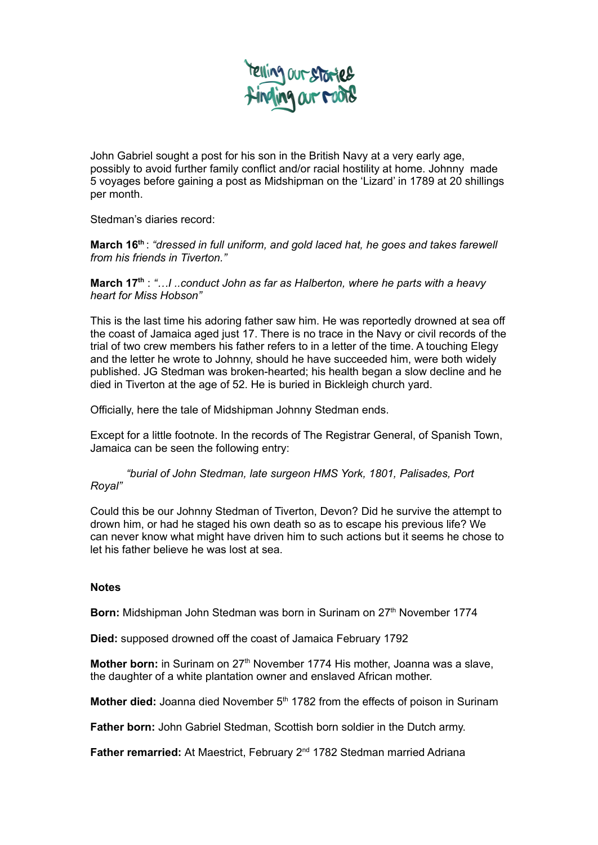

John Gabriel sought a post for his son in the British Navy at a very early age, possibly to avoid further family conflict and/or racial hostility at home. Johnny made 5 voyages before gaining a post as Midshipman on the 'Lizard' in 1789 at 20 shillings per month.

Stedman's diaries record:

**March 16 th** : *"dressed in full uniform, and gold laced hat, he goes and takes farewell from his friends in Tiverton."*

**March 17 th** : *"…I ..conduct John as far as Halberton, where he parts with a heavy heart for Miss Hobson"*

This is the last time his adoring father saw him. He was reportedly drowned at sea off the coast of Jamaica aged just 17. There is no trace in the Navy or civil records of the trial of two crew members his father refers to in a letter of the time. A touching Elegy and the letter he wrote to Johnny, should he have succeeded him, were both widely published. JG Stedman was broken-hearted; his health began a slow decline and he died in Tiverton at the age of 52. He is buried in Bickleigh church yard.

Officially, here the tale of Midshipman Johnny Stedman ends.

Except for a little footnote. In the records of The Registrar General, of Spanish Town, Jamaica can be seen the following entry:

*"burial of John Stedman, late surgeon HMS York, 1801, Palisades, Port Royal"*

Could this be our Johnny Stedman of Tiverton, Devon? Did he survive the attempt to drown him, or had he staged his own death so as to escape his previous life? We can never know what might have driven him to such actions but it seems he chose to let his father believe he was lost at sea.

## **Notes**

Born: Midshipman John Stedman was born in Surinam on 27<sup>th</sup> November 1774

**Died:** supposed drowned off the coast of Jamaica February 1792

Mother born: in Surinam on 27<sup>th</sup> November 1774 His mother, Joanna was a slave, the daughter of a white plantation owner and enslaved African mother.

**Mother died:** Joanna died November 5<sup>th</sup> 1782 from the effects of poison in Surinam

**Father born:** John Gabriel Stedman, Scottish born soldier in the Dutch army.

Father remarried: At Maestrict, February 2<sup>nd</sup> 1782 Stedman married Adriana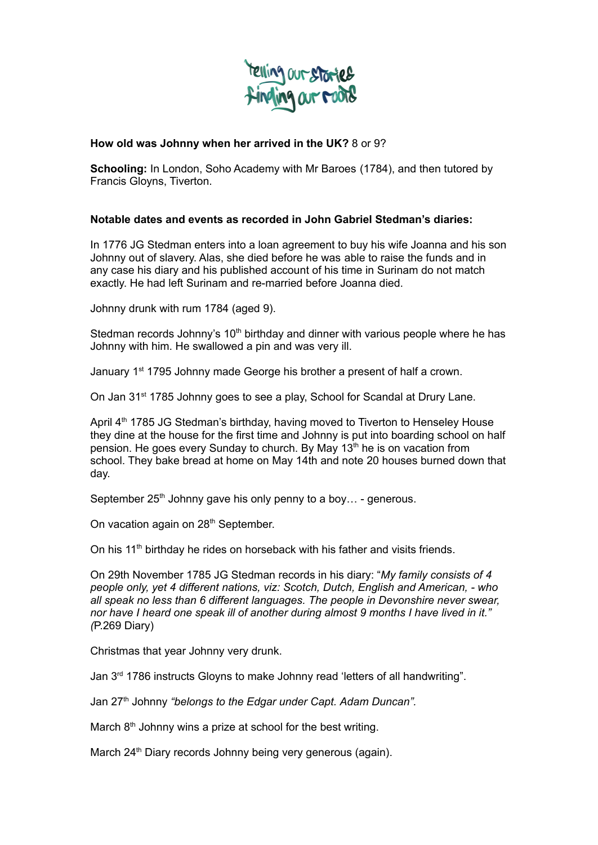

## **How old was Johnny when her arrived in the UK?** 8 or 9?

**Schooling:** In London, Soho Academy with Mr Baroes (1784), and then tutored by Francis Gloyns, Tiverton.

## **Notable dates and events as recorded in John Gabriel Stedman's diaries:**

In 1776 JG Stedman enters into a loan agreement to buy his wife Joanna and his son Johnny out of slavery. Alas, she died before he was able to raise the funds and in any case his diary and his published account of his time in Surinam do not match exactly. He had left Surinam and re-married before Joanna died.

Johnny drunk with rum 1784 (aged 9).

Stedman records Johnny's 10<sup>th</sup> birthday and dinner with various people where he has Johnny with him. He swallowed a pin and was very ill.

January 1<sup>st</sup> 1795 Johnny made George his brother a present of half a crown.

On Jan 31<sup>st</sup> 1785 Johnny goes to see a play, School for Scandal at Drury Lane.

April 4<sup>th</sup> 1785 JG Stedman's birthday, having moved to Tiverton to Henseley House they dine at the house for the first time and Johnny is put into boarding school on half pension. He goes every Sunday to church. By May 13<sup>th</sup> he is on vacation from school. They bake bread at home on May 14th and note 20 houses burned down that day.

September 25<sup>th</sup> Johnny gave his only penny to a boy... - generous.

On vacation again on 28<sup>th</sup> September.

On his 11<sup>th</sup> birthday he rides on horseback with his father and visits friends.

On 29th November 1785 JG Stedman records in his diary: "*My family consists of 4 people only, yet 4 different nations, viz: Scotch, Dutch, English and American, - who all speak no less than 6 different languages. The people in Devonshire never swear, nor have I heard one speak ill of another during almost 9 months I have lived in it." (*P.269 Diary)

Christmas that year Johnny very drunk.

Jan 3<sup>rd</sup> 1786 instructs Gloyns to make Johnny read 'letters of all handwriting".

Jan 27 th Johnny *"belongs to the Edgar under Capt. Adam Duncan".*

March 8<sup>th</sup> Johnny wins a prize at school for the best writing.

March 24<sup>th</sup> Diary records Johnny being very generous (again).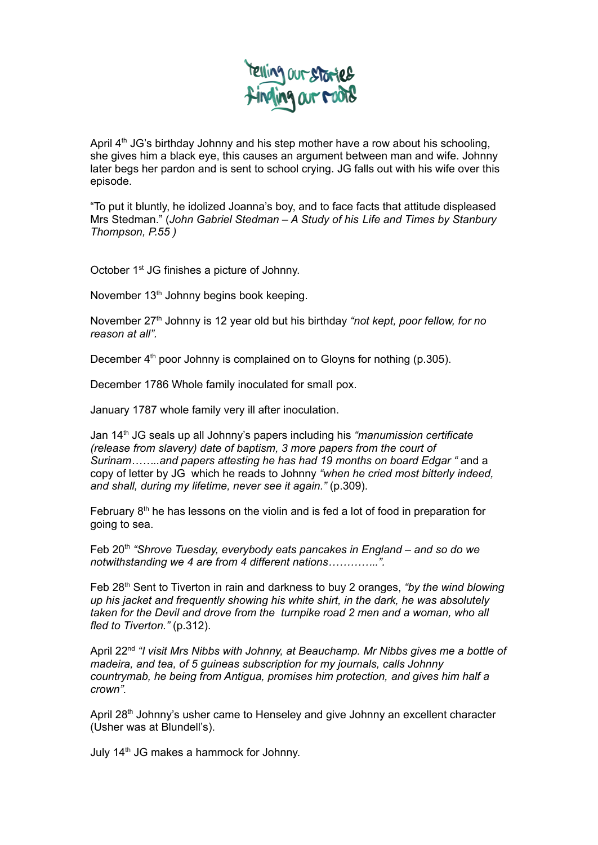

April 4<sup>th</sup> JG's birthday Johnny and his step mother have a row about his schooling, she gives him a black eye, this causes an argument between man and wife. Johnny later begs her pardon and is sent to school crying. JG falls out with his wife over this episode.

"To put it bluntly, he idolized Joanna's boy, and to face facts that attitude displeased Mrs Stedman." (*John Gabriel Stedman – A Study of his Life and Times by Stanbury Thompson, P.55 )*

October 1<sup>st</sup> JG finishes a picture of Johnny.

November 13<sup>th</sup> Johnny begins book keeping.

November 27 th Johnny is 12 year old but his birthday *"not kept, poor fellow, for no reason at all".*

December 4<sup>th</sup> poor Johnny is complained on to Gloyns for nothing (p.305).

December 1786 Whole family inoculated for small pox.

January 1787 whole family very ill after inoculation.

Jan 14 th JG seals up all Johnny's papers including his *"manumission certificate (release from slavery) date of baptism, 3 more papers from the court of Surinam……..and papers attesting he has had 19 months on board Edgar "* and a copy of letter by JG which he reads to Johnny *"when he cried most bitterly indeed, and shall, during my lifetime, never see it again."* (p.309).

February  $8<sup>th</sup>$  he has lessons on the violin and is fed a lot of food in preparation for going to sea.

Feb 20 th *"Shrove Tuesday, everybody eats pancakes in England – and so do we notwithstanding we 4 are from 4 different nations…………..".*

Feb 28 th Sent to Tiverton in rain and darkness to buy 2 oranges, *"by the wind blowing up his jacket and frequently showing his white shirt, in the dark, he was absolutely taken for the Devil and drove from the turnpike road 2 men and a woman, who all fled to Tiverton."* (p.312).

April 22 nd *"I visit Mrs Nibbs with Johnny, at Beauchamp. Mr Nibbs gives me a bottle of madeira, and tea, of 5 guineas subscription for my journals, calls Johnny countrymab, he being from Antigua, promises him protection, and gives him half a crown".*

April 28<sup>th</sup> Johnny's usher came to Henseley and give Johnny an excellent character (Usher was at Blundell's).

July 14<sup>th</sup> JG makes a hammock for Johnny.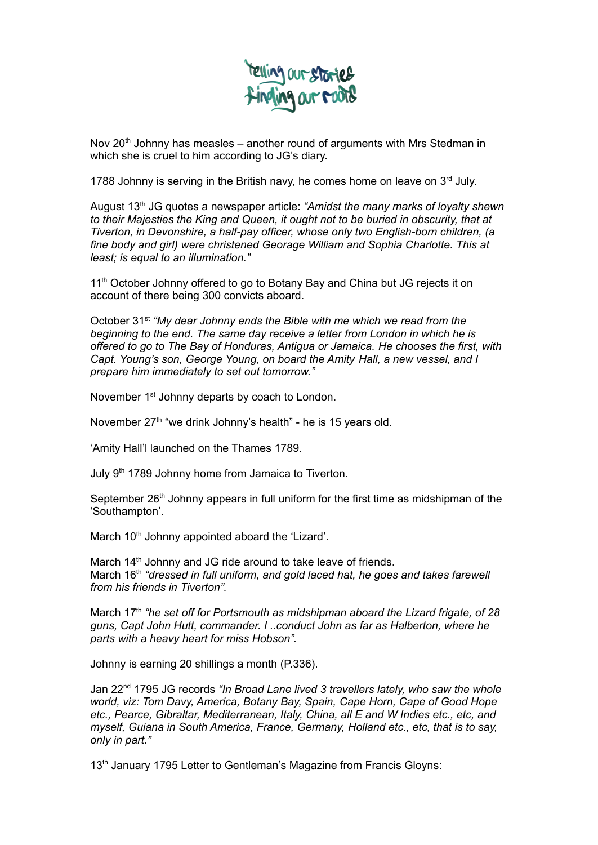

Nov 20<sup>th</sup> Johnny has measles – another round of arguments with Mrs Stedman in which she is cruel to him according to JG's diary.

1788 Johnny is serving in the British navy, he comes home on leave on 3rd July.

August 13 th JG quotes a newspaper article: *"Amidst the many marks of loyalty shewn to their Majesties the King and Queen, it ought not to be buried in obscurity, that at Tiverton, in Devonshire, a half-pay officer, whose only two English-born children, (a fine body and girl) were christened Georage William and Sophia Charlotte. This at least; is equal to an illumination."*

11<sup>th</sup> October Johnny offered to go to Botany Bay and China but JG rejects it on account of there being 300 convicts aboard.

October 31 st *"My dear Johnny ends the Bible with me which we read from the beginning to the end. The same day receive a letter from London in which he is offered to go to The Bay of Honduras, Antigua or Jamaica. He chooses the first, with Capt. Young's son, George Young, on board the Amity Hall, a new vessel, and I prepare him immediately to set out tomorrow."*

November 1<sup>st</sup> Johnny departs by coach to London.

November 27<sup>th</sup> "we drink Johnny's health" - he is 15 years old.

'Amity Hall'l launched on the Thames 1789.

July 9<sup>th</sup> 1789 Johnny home from Jamaica to Tiverton.

September 26<sup>th</sup> Johnny appears in full uniform for the first time as midshipman of the 'Southampton'.

March 10<sup>th</sup> Johnny appointed aboard the 'Lizard'.

March 14<sup>th</sup> Johnny and JG ride around to take leave of friends. March 16 th *"dressed in full uniform, and gold laced hat, he goes and takes farewell from his friends in Tiverton".*

March 17 th *"he set off for Portsmouth as midshipman aboard the Lizard frigate, of 28 guns, Capt John Hutt, commander. I ..conduct John as far as Halberton, where he parts with a heavy heart for miss Hobson".*

Johnny is earning 20 shillings a month (P.336).

Jan 22 nd 1795 JG records *"In Broad Lane lived 3 travellers lately, who saw the whole world, viz: Tom Davy, America, Botany Bay, Spain, Cape Horn, Cape of Good Hope etc., Pearce, Gibraltar, Mediterranean, Italy, China, all E and W Indies etc., etc, and myself, Guiana in South America, France, Germany, Holland etc., etc, that is to say, only in part."*

13<sup>th</sup> January 1795 Letter to Gentleman's Magazine from Francis Gloyns: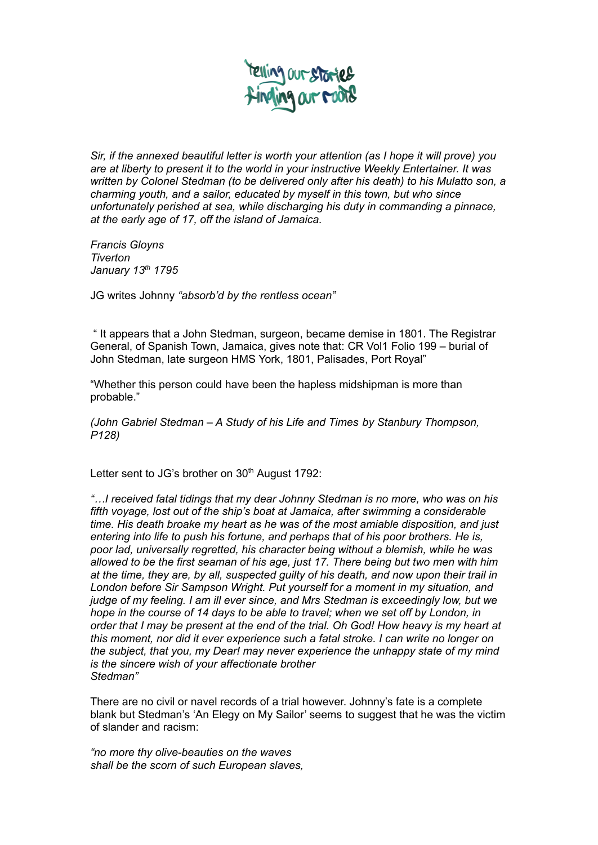

*Sir, if the annexed beautiful letter is worth your attention (as I hope it will prove) you are at liberty to present it to the world in your instructive Weekly Entertainer. It was written by Colonel Stedman (to be delivered only after his death) to his Mulatto son, a charming youth, and a sailor, educated by myself in this town, but who since unfortunately perished at sea, while discharging his duty in commanding a pinnace, at the early age of 17, off the island of Jamaica.*

*Francis Gloyns Tiverton January 13 th 1795*

JG writes Johnny *"absorb'd by the rentless ocean"*

" It appears that a John Stedman, surgeon, became demise in 1801. The Registrar General, of Spanish Town, Jamaica, gives note that: CR Vol1 Folio 199 – burial of John Stedman, late surgeon HMS York, 1801, Palisades, Port Royal"

"Whether this person could have been the hapless midshipman is more than probable."

*(John Gabriel Stedman – A Study of his Life and Times by Stanbury Thompson, P128)*

Letter sent to JG's brother on 30<sup>th</sup> August 1792:

*"…I received fatal tidings that my dear Johnny Stedman is no more, who was on his fifth voyage, lost out of the ship's boat at Jamaica, after swimming a considerable time. His death broake my heart as he was of the most amiable disposition, and just entering into life to push his fortune, and perhaps that of his poor brothers. He is, poor lad, universally regretted, his character being without a blemish, while he was allowed to be the first seaman of his age, just 17. There being but two men with him at the time, they are, by all, suspected guilty of his death, and now upon their trail in London before Sir Sampson Wright. Put yourself for a moment in my situation, and judge of my feeling. I am ill ever since, and Mrs Stedman is exceedingly low, but we hope in the course of 14 days to be able to travel; when we set off by London, in* order that I may be present at the end of the trial. Oh God! How heavy is my heart at *this moment, nor did it ever experience such a fatal stroke. I can write no longer on the subject, that you, my Dear! may never experience the unhappy state of my mind is the sincere wish of your affectionate brother Stedman"*

There are no civil or navel records of a trial however. Johnny's fate is a complete blank but Stedman's 'An Elegy on My Sailor' seems to suggest that he was the victim of slander and racism:

*"no more thy olive-beauties on the waves shall be the scorn of such European slaves,*